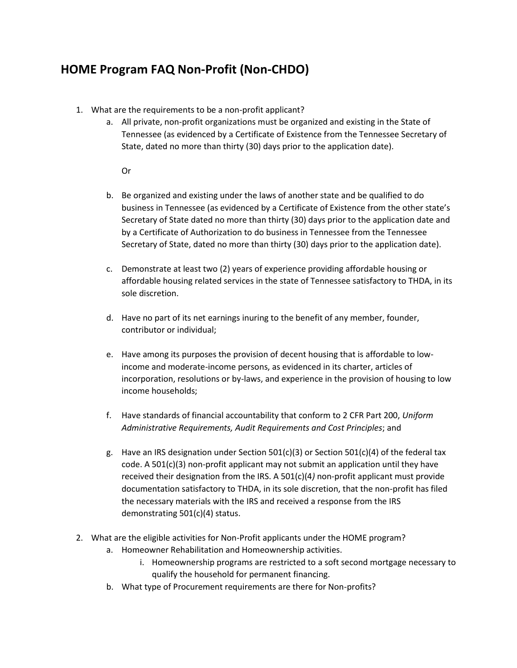## **HOME Program FAQ Non-Profit (Non-CHDO)**

- 1. What are the requirements to be a non-profit applicant?
	- a. All private, non-profit organizations must be organized and existing in the State of Tennessee (as evidenced by a Certificate of Existence from the Tennessee Secretary of State, dated no more than thirty (30) days prior to the application date).

## Or

- b. Be organized and existing under the laws of another state and be qualified to do business in Tennessee (as evidenced by a Certificate of Existence from the other state's Secretary of State dated no more than thirty (30) days prior to the application date and by a Certificate of Authorization to do business in Tennessee from the Tennessee Secretary of State, dated no more than thirty (30) days prior to the application date).
- c. Demonstrate at least two (2) years of experience providing affordable housing or affordable housing related services in the state of Tennessee satisfactory to THDA, in its sole discretion.
- d. Have no part of its net earnings inuring to the benefit of any member, founder, contributor or individual;
- e. Have among its purposes the provision of decent housing that is affordable to lowincome and moderate-income persons, as evidenced in its charter, articles of incorporation, resolutions or by-laws, and experience in the provision of housing to low income households;
- f. Have standards of financial accountability that conform to 2 CFR Part 200, *Uniform Administrative Requirements, Audit Requirements and Cost Principles*; and
- g. Have an IRS designation under Section 501(c)(3) or Section 501(c)(4) of the federal tax code. A 501(c)(3) non-profit applicant may not submit an application until they have received their designation from the IRS. A 501(c)(4*)* non-profit applicant must provide documentation satisfactory to THDA, in its sole discretion, that the non-profit has filed the necessary materials with the IRS and received a response from the IRS demonstrating 501(c)(4) status.
- 2. What are the eligible activities for Non-Profit applicants under the HOME program?
	- a. Homeowner Rehabilitation and Homeownership activities.
		- i. Homeownership programs are restricted to a soft second mortgage necessary to qualify the household for permanent financing.
	- b. What type of Procurement requirements are there for Non-profits?